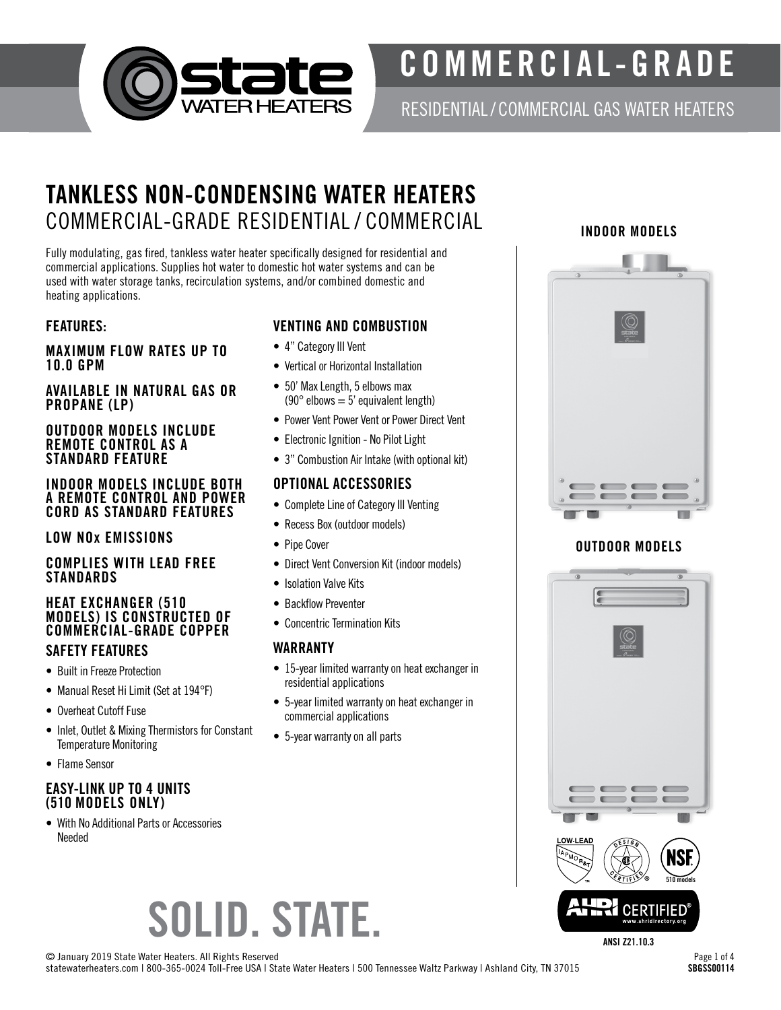

# COMMERCIAL-GRADE

RESIDENTIAL/ COMMERCIAL GAS WATER HEATERS

# TANKLESS NON-CONDENSING WATER HEATERS COMMERCIAL-GRADE RESIDENTIAL / COMMERCIAL INDOOR MODELS

Fully modulating, gas fired, tankless water heater specifically designed for residential and commercial applications. Supplies hot water to domestic hot water systems and can be used with water storage tanks, recirculation systems, and/or combined domestic and heating applications.

#### FEATURES:

#### MAXIMUM FLOW RATES UP TO 10.0 GPM

#### AVAILABLE IN NATURAL GAS OR PROPANE (LP)

#### OUTDOOR MODELS INCLUDE REMOTE CONTROL AS A STANDARD FEATURE

#### INDOOR MODELS INCLUDE BOTH A REMOTE CONTROL AND POWER CORD AS STANDARD FEATURES

#### LOW NOx EMISSIONS

#### COMPLIES WITH LEAD FREE **STANDARDS**

#### HEAT EXCHANGER (510 MODELS) IS CONSTRUCTED OF COMMERCIAL-GRADE COPPER SAFETY FEATURES

- Built in Freeze Protection
- Manual Reset Hi Limit (Set at 194°F)
- Overheat Cutoff Fuse
- Inlet, Outlet & Mixing Thermistors for Constant Temperature Monitoring
- Flame Sensor

#### EASY-LINK UP TO 4 UNITS (510 MODELS ONLY)

• With No Additional Parts or Accessories Needed

### VENTING AND COMBUSTION

- 4" Category III Vent
- Vertical or Horizontal Installation
- 50' Max Length, 5 elbows max (90 $\degree$  elbows = 5' equivalent length)
- Power Vent Power Vent or Power Direct Vent
- Electronic Ignition No Pilot Light
- 3" Combustion Air Intake (with optional kit)

#### OPTIONAL ACCESSORIES

- Complete Line of Category III Venting
- Recess Box (outdoor models)
- Pipe Cover
- Direct Vent Conversion Kit (indoor models)
- Isolation Valve Kits
- Backflow Preventer
- Concentric Termination Kits

### WARRANTY

- 15-year limited warranty on heat exchanger in residential applications
- 5-year limited warranty on heat exchanger in commercial applications
- 5-year warranty on all parts



### OUTDOOR MODELS



ANSI Z21.10.3

SOLID. STATE.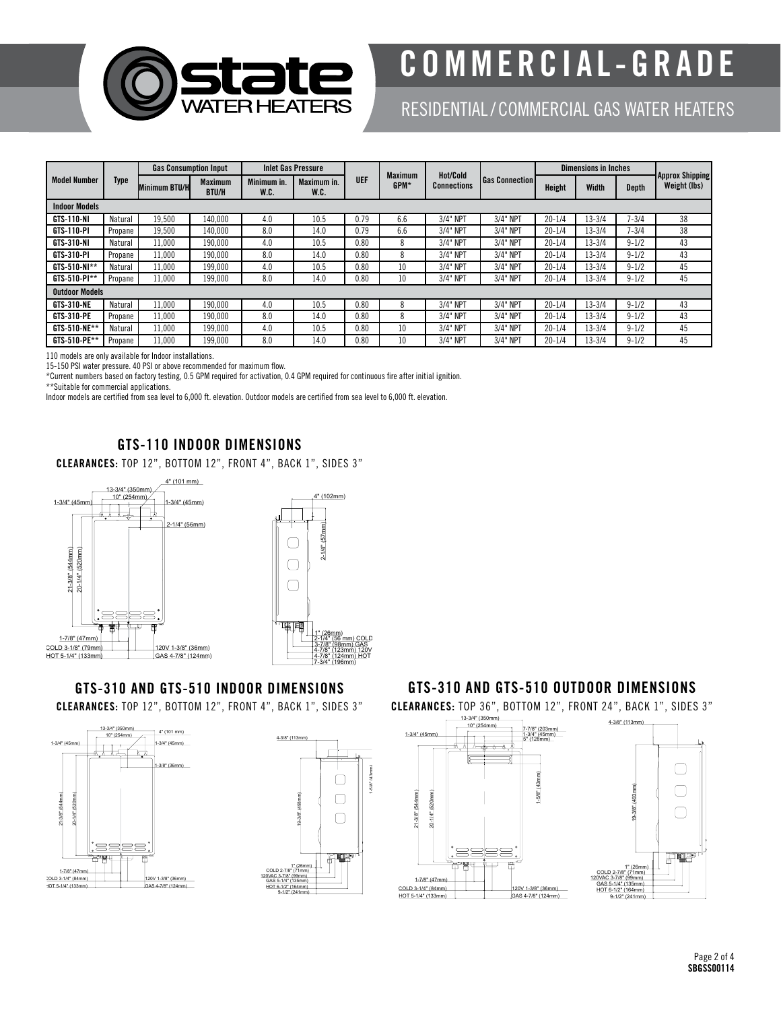

# COMMERCIAL-GRADE

## RESIDENTIAL/ COMMERCIAL GAS WATER HEATERS

| <b>Model Number</b>   | Type    | <b>Gas Consumption Input</b> |                                | <b>Inlet Gas Pressure</b> |                     |            |                        | Hot/Cold    |                       | <b>Dimensions in Inches</b> |              |           |                                        |
|-----------------------|---------|------------------------------|--------------------------------|---------------------------|---------------------|------------|------------------------|-------------|-----------------------|-----------------------------|--------------|-----------|----------------------------------------|
|                       |         | <b>Minimum BTU/HI</b>        | <b>Maximum</b><br><b>BTU/H</b> | Minimum in.<br>W.C.       | Maximum in.<br>W.C. | <b>UEF</b> | <b>Maximum</b><br>GPM* | Connections | <b>Gas Connection</b> | Height                      | <b>Width</b> | Depth     | <b>Approx Shipping</b><br>Weight (lbs) |
| <b>Indoor Models</b>  |         |                              |                                |                           |                     |            |                        |             |                       |                             |              |           |                                        |
| GTS-110-NI            | Natural | 19.500                       | 140,000                        | 4.0                       | 10.5                | 0.79       | 6.6                    | 3/4" NPT    | 3/4" NPT              | $20 - 1/4$                  | $13 - 3/4$   | $7 - 3/4$ | 38                                     |
| GTS-110-PI            | Propane | 19.500                       | 140.000                        | 8.0                       | 14.0                | 0.79       | 6.6                    | 3/4" NPT    | 3/4" NPT              | $20 - 1/4$                  | $13 - 3/4$   | $7 - 3/4$ | 38                                     |
| GTS-310-NI            | Natural | 11.000                       | 190.000                        | 4.0                       | 10.5                | 0.80       | ×                      | 3/4" NPT    | 3/4" NPT              | $20 - 1/4$                  | $13 - 3/4$   | $9 - 1/2$ | 43                                     |
| GTS-310-PI            | Propane | 11.000                       | 190,000                        | 8.0                       | 14.0                | 0.80       |                        | 3/4" NPT    | 3/4" NPT              | $20 - 1/4$                  | $13 - 3/4$   | $9 - 1/2$ | 43                                     |
| GTS-510-NI**          | Natural | 11,000                       | 199,000                        | 4.0                       | 10.5                | 0.80       | 10                     | 3/4" NPT    | 3/4" NPT              | $20 - 1/4$                  | $13 - 3/4$   | $9 - 1/2$ | 45                                     |
| GTS-510-PI**          | Propane | 11.000                       | 199,000                        | 8.0                       | 14.0                | 0.80       | 10                     | 3/4" NPT    | 3/4" NPT              | $20 - 1/4$                  | $13 - 3/4$   | $9 - 1/2$ | 45                                     |
| <b>Outdoor Models</b> |         |                              |                                |                           |                     |            |                        |             |                       |                             |              |           |                                        |
| <b>GTS-310-NE</b>     | Natural | 11.000                       | 190.000                        | 4.0                       | 10.5                | 0.80       |                        | 3/4" NPT    | 3/4" NPT              | $20 - 1/4$                  | $13 - 3/4$   | $9 - 1/2$ | 43                                     |
| GTS-310-PE            | Propane | 11.000                       | 190,000                        | 8.0                       | 14.0                | 0.80       |                        | 3/4" NPT    | 3/4" NPT              | $20 - 1/4$                  | $13 - 3/4$   | $9 - 1/2$ | 43                                     |
| $GTS-510-NE**$        | Natural | 11.000                       | 199.000                        | 4.0                       | 10.5                | 0.80       | 10                     | 3/4" NPT    | 3/4" NPT              | $20 - 1/4$                  | 13-3/4       | $9 - 1/2$ | 45                                     |
| GTS-510-PE**          | Propane | 11.000                       | 199,000                        | 8.0                       | 14.0                | 0.80       | 10                     | 3/4" NPT    | 3/4" NPT              | $20 - 1/4$                  | $13 - 3/4$   | $9 - 1/2$ | 45                                     |

110 models are only available for Indoor installations.

15-150 PSI water pressure. 40 PSI or above recommended for maximum flow.

\*Current numbers based on factory testing, 0.5 GPM required for activation, 0.4 GPM required for continuous fire after initial ignition.

\*\*Suitable for commercial applications.

Indoor models are certified from sea level to 6,000 ft. elevation. Outdoor models are certified from sea level to 6,000 ft. elevation.

#### GTS-110 INDOOR DIMENSIONS

CLEARANCES: TOP 12", BOTTOM 12", FRONT 4", BACK 1", SIDES 3"



## GTS-310 AND GTS-510 INDOOR DIMENSIONS

CLEARANCES: TOP 12", BOTTOM 12", FRONT 4", BACK 1", SIDES 3"





#### GTS-310 AND GTS-510 OUTDOOR DIMENSIONS

CLEARANCES: TOP 36", BOTTOM 12", FRONT 24", BACK 1", SIDES 3"

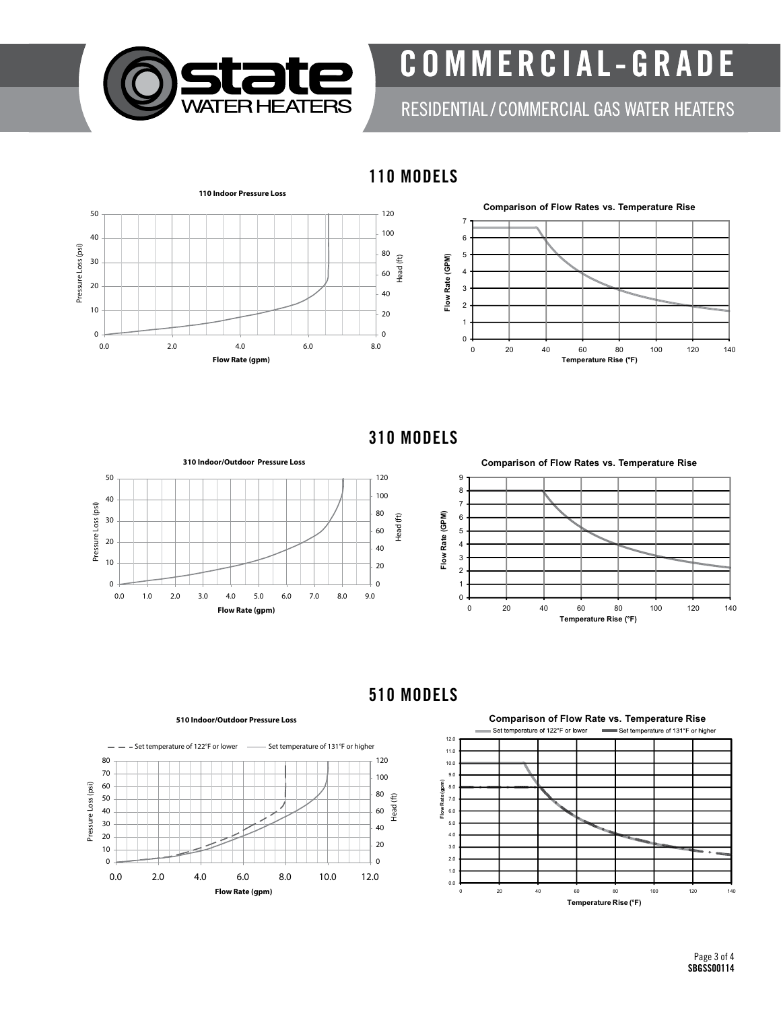

COMMERCIAL-GRADE

RESIDENTIAL/ COMMERCIAL GAS WATER HEATERS

110 MODELS

80



310 MODELS

**Flow Rate (GPM)**



**Comparison of Flow Rates vs. Temperature Rise** 9 8 7 Flow Rate (GPM) 6 5 4 3 2 1 0 0 20 40 60 80 100 120 140 **Temperature Rise (°F)**

510 MODELS



**Comparison of Flow Rate vs. Temperature Rise** Set temperature of 122°F or lower Set temperature of 131°F or higher

0 20 40 60 80 100 120 140

**Temperature Rise (°F)**